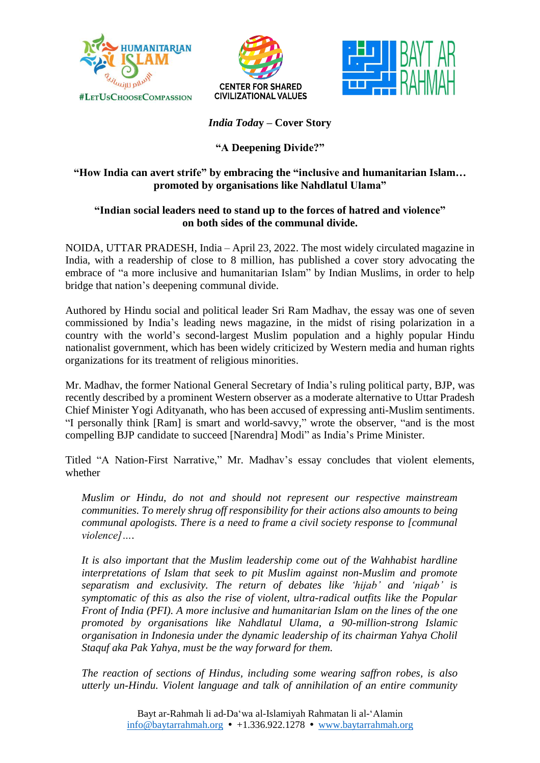





*India Toda***y – Cover Story**

# **"A Deepening Divide?"**

## **"How India can avert strife" by embracing the "inclusive and humanitarian Islam… promoted by organisations like Nahdlatul Ulama"**

## **"Indian social leaders need to stand up to the forces of hatred and violence" on both sides of the communal divide.**

NOIDA, UTTAR PRADESH, India – April 23, 2022. The most widely circulated magazine in India, with a readership of close to 8 million, has published a cover story advocating the embrace of "a more inclusive and humanitarian Islam" by Indian Muslims, in order to help bridge that nation's deepening communal divide.

Authored by Hindu social and political leader Sri Ram Madhav, the essay was one of seven commissioned by India's leading news magazine, in the midst of rising polarization in a country with the world's second-largest Muslim population and a highly popular Hindu nationalist government, which has been widely criticized by Western media and human rights organizations for its treatment of religious minorities.

Mr. Madhav, the former National General Secretary of India's ruling political party, BJP, was recently described by a prominent Western observer as a moderate alternative to Uttar Pradesh Chief Minister Yogi Adityanath, who has been accused of expressing anti-Muslim sentiments. "I personally think [Ram] is smart and world-savvy," wrote the observer, "and is the most compelling BJP candidate to succeed [Narendra] Modi" as India's Prime Minister.

Titled "A Nation-First Narrative," Mr. Madhav's essay concludes that violent elements, whether

*Muslim or Hindu, do not and should not represent our respective mainstream communities. To merely shrug off responsibility for their actions also amounts to being communal apologists. There is a need to frame a civil society response to [communal violence]….*

*It is also important that the Muslim leadership come out of the Wahhabist hardline interpretations of Islam that seek to pit Muslim against non-Muslim and promote separatism and exclusivity. The return of debates like 'hijab' and 'niqab' is symptomatic of this as also the rise of violent, ultra-radical outfits like the Popular Front of India (PFI). A more inclusive and humanitarian Islam on the lines of the one promoted by organisations like Nahdlatul Ulama, a 90-million-strong Islamic organisation in Indonesia under the dynamic leadership of its chairman Yahya Cholil Staquf aka Pak Yahya, must be the way forward for them.*

*The reaction of sections of Hindus, including some wearing saffron robes, is also utterly un-Hindu. Violent language and talk of annihilation of an entire community*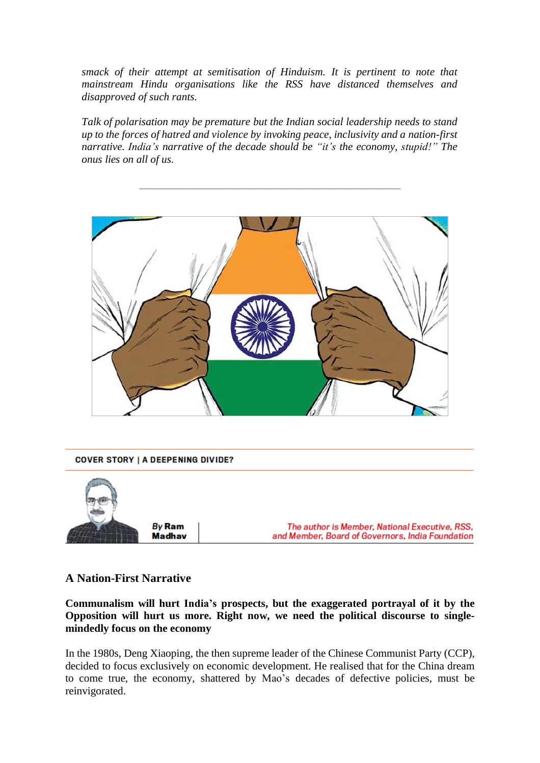*smack of their attempt at semitisation of Hinduism. It is pertinent to note that mainstream Hindu organisations like the RSS have distanced themselves and disapproved of such rants.*

*Talk of polarisation may be premature but the Indian social leadership needs to stand up to the forces of hatred and violence by invoking peace, inclusivity and a nation-first narrative. India's narrative of the decade should be "it's the economy, stupid!" The onus lies on all of us.*

\_\_\_\_\_\_\_\_\_\_\_\_\_\_\_\_\_\_\_\_\_\_\_\_\_\_\_\_\_\_\_\_\_\_\_\_\_\_\_\_\_\_\_\_\_\_\_\_





### **A Nation-First Narrative**

**Communalism will hurt India's prospects, but the exaggerated portrayal of it by the Opposition will hurt us more. Right now, we need the political discourse to singlemindedly focus on the economy**

In the 1980s, Deng Xiaoping, the then supreme leader of the Chinese Communist Party (CCP), decided to focus exclusively on economic development. He realised that for the China dream to come true, the economy, shattered by Mao's decades of defective policies, must be reinvigorated.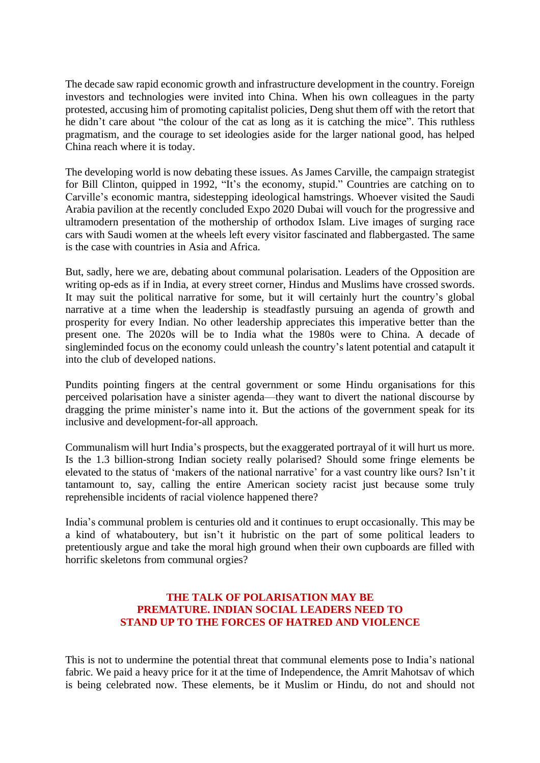The decade saw rapid economic growth and infrastructure development in the country. Foreign investors and technologies were invited into China. When his own colleagues in the party protested, accusing him of promoting capitalist policies, Deng shut them off with the retort that he didn't care about "the colour of the cat as long as it is catching the mice". This ruthless pragmatism, and the courage to set ideologies aside for the larger national good, has helped China reach where it is today.

The developing world is now debating these issues. As James Carville, the campaign strategist for Bill Clinton, quipped in 1992, "It's the economy, stupid." Countries are catching on to Carville's economic mantra, sidestepping ideological hamstrings. Whoever visited the Saudi Arabia pavilion at the recently concluded Expo 2020 Dubai will vouch for the progressive and ultramodern presentation of the mothership of orthodox Islam. Live images of surging race cars with Saudi women at the wheels left every visitor fascinated and flabbergasted. The same is the case with countries in Asia and Africa.

But, sadly, here we are, debating about communal polarisation. Leaders of the Opposition are writing op-eds as if in India, at every street corner, Hindus and Muslims have crossed swords. It may suit the political narrative for some, but it will certainly hurt the country's global narrative at a time when the leadership is steadfastly pursuing an agenda of growth and prosperity for every Indian. No other leadership appreciates this imperative better than the present one. The 2020s will be to India what the 1980s were to China. A decade of singleminded focus on the economy could unleash the country's latent potential and catapult it into the club of developed nations.

Pundits pointing fingers at the central government or some Hindu organisations for this perceived polarisation have a sinister agenda—they want to divert the national discourse by dragging the prime minister's name into it. But the actions of the government speak for its inclusive and development-for-all approach.

Communalism will hurt India's prospects, but the exaggerated portrayal of it will hurt us more. Is the 1.3 billion-strong Indian society really polarised? Should some fringe elements be elevated to the status of 'makers of the national narrative' for a vast country like ours? Isn't it tantamount to, say, calling the entire American society racist just because some truly reprehensible incidents of racial violence happened there?

India's communal problem is centuries old and it continues to erupt occasionally. This may be a kind of whataboutery, but isn't it hubristic on the part of some political leaders to pretentiously argue and take the moral high ground when their own cupboards are filled with horrific skeletons from communal orgies?

#### **THE TALK OF POLARISATION MAY BE PREMATURE. INDIAN SOCIAL LEADERS NEED TO STAND UP TO THE FORCES OF HATRED AND VIOLENCE**

This is not to undermine the potential threat that communal elements pose to India's national fabric. We paid a heavy price for it at the time of Independence, the Amrit Mahotsav of which is being celebrated now. These elements, be it Muslim or Hindu, do not and should not